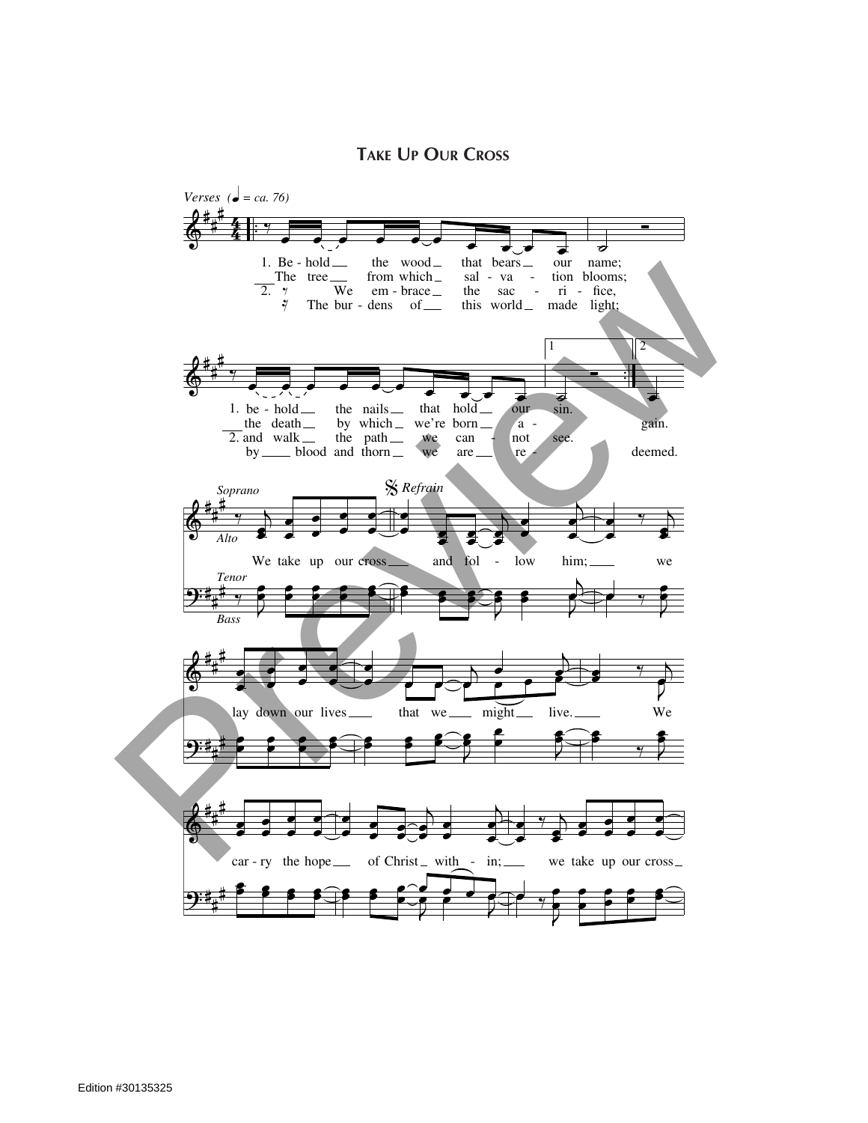**Take Up Our Cross**